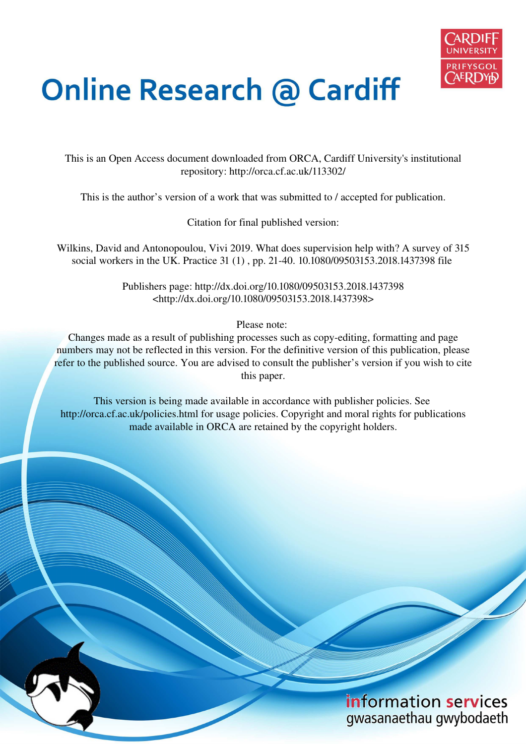

# **Online Research @ Cardiff**

This is an Open Access document downloaded from ORCA, Cardiff University's institutional repository: http://orca.cf.ac.uk/113302/

This is the author's version of a work that was submitted to / accepted for publication.

Citation for final published version:

Wilkins, David and Antonopoulou, Vivi 2019. What does supervision help with? A survey of 315 social workers in the UK. Practice 31 (1) , pp. 21-40. 10.1080/09503153.2018.1437398 file

> Publishers page: http://dx.doi.org/10.1080/09503153.2018.1437398 <http://dx.doi.org/10.1080/09503153.2018.1437398>

> > Please note:

Changes made as a result of publishing processes such as copy-editing, formatting and page numbers may not be reflected in this version. For the definitive version of this publication, please refer to the published source. You are advised to consult the publisher's version if you wish to cite this paper.

This version is being made available in accordance with publisher policies. See http://orca.cf.ac.uk/policies.html for usage policies. Copyright and moral rights for publications made available in ORCA are retained by the copyright holders.

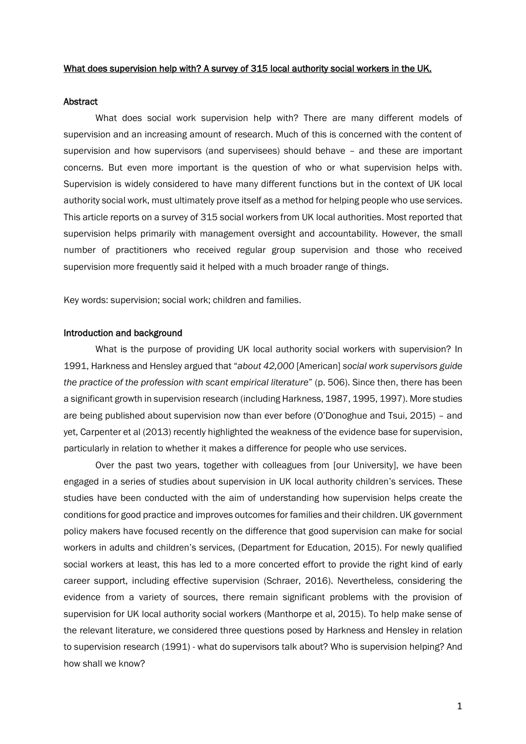# What does supervision help with? A survey of 315 local authority social workers in the UK.

#### Abstract

What does social work supervision help with? There are many different models of supervision and an increasing amount of research. Much of this is concerned with the content of supervision and how supervisors (and supervisees) should behave – and these are important concerns. But even more important is the question of who or what supervision helps with. Supervision is widely considered to have many different functions but in the context of UK local authority social work, must ultimately prove itself as a method for helping people who use services. This article reports on a survey of 315 social workers from UK local authorities. Most reported that supervision helps primarily with management oversight and accountability. However, the small number of practitioners who received regular group supervision and those who received supervision more frequently said it helped with a much broader range of things.

Key words: supervision; social work; children and families.

# Introduction and background

What is the purpose of providing UK local authority social workers with supervision? In 1991, Harkness and Hensley argued that "*about 42,000* [American] *social work supervisors guide the practice of the profession with scant empirical literature*" (p. 506). Since then, there has been a significant growth in supervision research (including Harkness, 1987, 1995, 1997). More studies are being published about supervision now than ever before (O'Donoghue and Tsui, 2015) – and yet, Carpenter et al (2013) recently highlighted the weakness of the evidence base for supervision, particularly in relation to whether it makes a difference for people who use services.

Over the past two years, together with colleagues from [our University], we have been engaged in a series of studies about supervision in UK local authority children's services. These studies have been conducted with the aim of understanding how supervision helps create the conditions for good practice and improves outcomes for families and their children. UK government policy makers have focused recently on the difference that good supervision can make for social workers in adults and children's services, (Department for Education, 2015). For newly qualified social workers at least, this has led to a more concerted effort to provide the right kind of early career support, including effective supervision (Schraer, 2016). Nevertheless, considering the evidence from a variety of sources, there remain significant problems with the provision of supervision for UK local authority social workers (Manthorpe et al, 2015). To help make sense of the relevant literature, we considered three questions posed by Harkness and Hensley in relation to supervision research (1991) - what do supervisors talk about? Who is supervision helping? And how shall we know?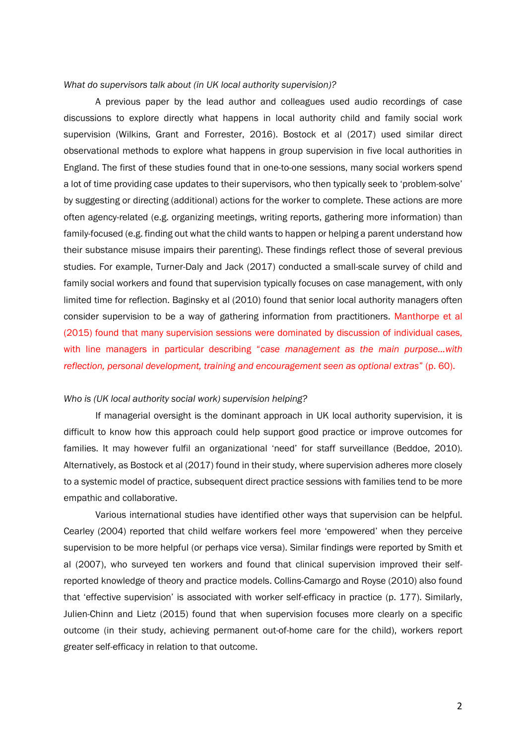# *What do supervisors talk about (in UK local authority supervision)?*

A previous paper by the lead author and colleagues used audio recordings of case discussions to explore directly what happens in local authority child and family social work supervision (Wilkins, Grant and Forrester, 2016). Bostock et al (2017) used similar direct observational methods to explore what happens in group supervision in five local authorities in England. The first of these studies found that in one-to-one sessions, many social workers spend a lot of time providing case updates to their supervisors, who then typically seek to 'problem-solve' by suggesting or directing (additional) actions for the worker to complete. These actions are more often agency-related (e.g. organizing meetings, writing reports, gathering more information) than family-focused (e.g. finding out what the child wants to happen or helping a parent understand how their substance misuse impairs their parenting). These findings reflect those of several previous studies. For example, Turner-Daly and Jack (2017) conducted a small-scale survey of child and family social workers and found that supervision typically focuses on case management, with only limited time for reflection. Baginsky et al (2010) found that senior local authority managers often consider supervision to be a way of gathering information from practitioners. Manthorpe et al (2015) found that many supervision sessions were dominated by discussion of individual cases, with line managers in particular describing "*case management as the main purpose…with reflection, personal development, training and encouragement seen as optional extras*" (p. 60).

#### *Who is (UK local authority social work) supervision helping?*

If managerial oversight is the dominant approach in UK local authority supervision, it is difficult to know how this approach could help support good practice or improve outcomes for families. It may however fulfil an organizational 'need' for staff surveillance (Beddoe, 2010). Alternatively, as Bostock et al (2017) found in their study, where supervision adheres more closely to a systemic model of practice, subsequent direct practice sessions with families tend to be more empathic and collaborative.

Various international studies have identified other ways that supervision can be helpful. Cearley (2004) reported that child welfare workers feel more 'empowered' when they perceive supervision to be more helpful (or perhaps vice versa). Similar findings were reported by Smith et al (2007), who surveyed ten workers and found that clinical supervision improved their selfreported knowledge of theory and practice models. Collins-Camargo and Royse (2010) also found that 'effective supervision' is associated with worker self-efficacy in practice (p. 177). Similarly, Julien-Chinn and Lietz (2015) found that when supervision focuses more clearly on a specific outcome (in their study, achieving permanent out-of-home care for the child), workers report greater self-efficacy in relation to that outcome.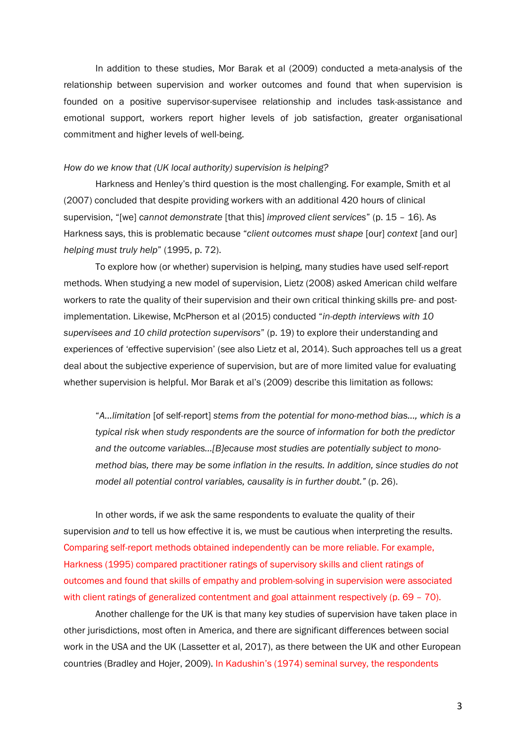In addition to these studies, Mor Barak et al (2009) conducted a meta-analysis of the relationship between supervision and worker outcomes and found that when supervision is founded on a positive supervisor-supervisee relationship and includes task-assistance and emotional support, workers report higher levels of job satisfaction, greater organisational commitment and higher levels of well-being.

#### *How do we know that (UK local authority) supervision is helping?*

Harkness and Henley's third question is the most challenging. For example, Smith et al (2007) concluded that despite providing workers with an additional 420 hours of clinical supervision, "[we] *cannot demonstrate* [that this] *improved client services*" (p. 15 – 16). As Harkness says, this is problematic because "*client outcomes must shape* [our] *context* [and our] *helping must truly help*" (1995, p. 72).

To explore how (or whether) supervision is helping, many studies have used self-report methods. When studying a new model of supervision, Lietz (2008) asked American child welfare workers to rate the quality of their supervision and their own critical thinking skills pre- and postimplementation. Likewise, McPherson et al (2015) conducted "*in-depth interviews with 10 supervisees and 10 child protection supervisors*" (p. 19) to explore their understanding and experiences of 'effective supervision' (see also Lietz et al, 2014). Such approaches tell us a great deal about the subjective experience of supervision, but are of more limited value for evaluating whether supervision is helpful. Mor Barak et al's (2009) describe this limitation as follows:

"*A…limitation* [of self-report] *stems from the potential for mono-method bias..., which is a typical risk when study respondents are the source of information for both the predictor and the outcome variables…[B]ecause most studies are potentially subject to monomethod bias, there may be some inflation in the results. In addition, since studies do not model all potential control variables, causality is in further doubt."* (p. 26).

 In other words, if we ask the same respondents to evaluate the quality of their supervision *and* to tell us how effective it is, we must be cautious when interpreting the results. Comparing self-report methods obtained independently can be more reliable. For example, Harkness (1995) compared practitioner ratings of supervisory skills and client ratings of outcomes and found that skills of empathy and problem-solving in supervision were associated with client ratings of generalized contentment and goal attainment respectively (p. 69 – 70).

Another challenge for the UK is that many key studies of supervision have taken place in other jurisdictions, most often in America, and there are significant differences between social work in the USA and the UK (Lassetter et al, 2017), as there between the UK and other European countries (Bradley and Hojer, 2009). In Kadushin's (1974) seminal survey, the respondents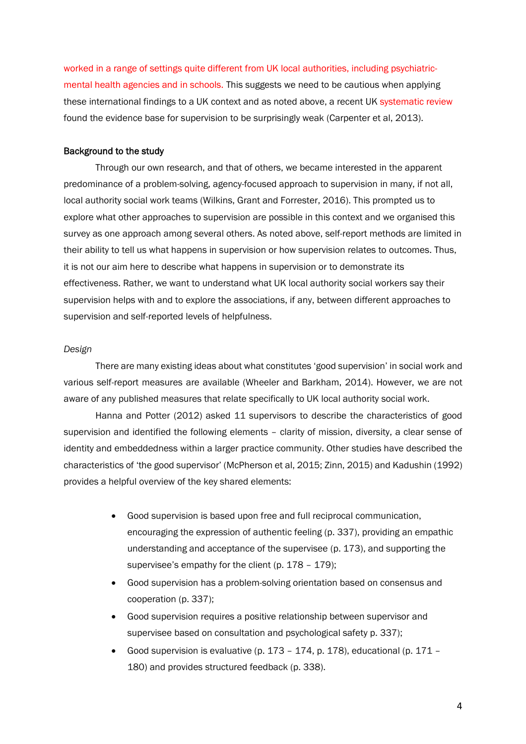worked in a range of settings quite different from UK local authorities, including psychiatricmental health agencies and in schools. This suggests we need to be cautious when applying these international findings to a UK context and as noted above, a recent UK systematic review found the evidence base for supervision to be surprisingly weak (Carpenter et al, 2013).

# Background to the study

Through our own research, and that of others, we became interested in the apparent predominance of a problem-solving, agency-focused approach to supervision in many, if not all, local authority social work teams (Wilkins, Grant and Forrester, 2016). This prompted us to explore what other approaches to supervision are possible in this context and we organised this survey as one approach among several others. As noted above, self-report methods are limited in their ability to tell us what happens in supervision or how supervision relates to outcomes. Thus, it is not our aim here to describe what happens in supervision or to demonstrate its effectiveness. Rather, we want to understand what UK local authority social workers say their supervision helps with and to explore the associations, if any, between different approaches to supervision and self-reported levels of helpfulness.

#### *Design*

There are many existing ideas about what constitutes 'good supervision' in social work and various self-report measures are available (Wheeler and Barkham, 2014). However, we are not aware of any published measures that relate specifically to UK local authority social work.

Hanna and Potter (2012) asked 11 supervisors to describe the characteristics of good supervision and identified the following elements – clarity of mission, diversity, a clear sense of identity and embeddedness within a larger practice community. Other studies have described the characteristics of 'the good supervisor' (McPherson et al, 2015; Zinn, 2015) and Kadushin (1992) provides a helpful overview of the key shared elements:

- Good supervision is based upon free and full reciprocal communication, encouraging the expression of authentic feeling (p. 337), providing an empathic understanding and acceptance of the supervisee (p. 173), and supporting the supervisee's empathy for the client (p. 178 - 179);
- Good supervision has a problem-solving orientation based on consensus and cooperation (p. 337);
- Good supervision requires a positive relationship between supervisor and supervisee based on consultation and psychological safety p. 337);
- Good supervision is evaluative (p. 173 174, p. 178), educational (p. 171 180) and provides structured feedback (p. 338).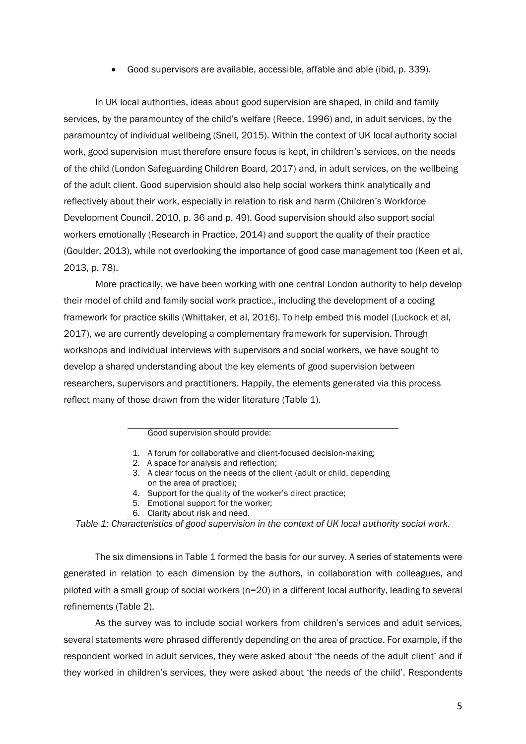Good supervisors are available, accessible, affable and able (ibid, p. 339).

In UK local authorities, ideas about good supervision are shaped, in child and family services, by the paramountcy of the child's welfare (Reece, 1996) and, in adult services, by the paramountcy of individual wellbeing (Snell, 2015). Within the context of UK local authority social work, good supervision must therefore ensure focus is kept, in children's services, on the needs of the child (London Safeguarding Children Board, 2017) and, in adult services, on the wellbeing of the adult client. Good supervision should also help social workers think analytically and reflectively about their work, especially in relation to risk and harm (Children's Workforce Development Council, 2010, p. 36 and p. 49). Good supervision should also support social workers emotionally (Research in Practice, 2014) and support the quality of their practice (Goulder, 2013), while not overlooking the importance of good case management too (Keen et al, 2013, p. 78).

More practically, we have been working with one central London authority to help develop their model of child and family social work practice., including the development of a coding framework for practice skills (Whittaker, et al, 2016). To help embed this model (Luckock et al, 2017), we are currently developing a complementary framework for supervision. Through workshops and individual interviews with supervisors and social workers, we have sought to develop a shared understanding about the key elements of good supervision between researchers, supervisors and practitioners. Happily, the elements generated via this process reflect many of those drawn from the wider literature (Table 1).

## Good supervision should provide:

- 1. A forum for collaborative and client-focused decision-making;
- 2. A space for analysis and reflection;
- 3. A clear focus on the needs of the client (adult or child, depending on the area of practice);
- 4. Support for the quality of the worker's direct practice;
- 5. Emotional support for the worker;
- 6. Clarity about risk and need.

*Table 1: Characteristics of good supervision in the context of UK local authority social work.* 

The six dimensions in Table 1 formed the basis for our survey. A series of statements were generated in relation to each dimension by the authors, in collaboration with colleagues, and piloted with a small group of social workers (n=20) in a different local authority, leading to several refinements (Table 2).

As the survey was to include social workers from children's services and adult services, several statements were phrased differently depending on the area of practice. For example, if the respondent worked in adult services, they were asked about 'the needs of the adult client' and if they worked in children's services, they were asked about 'the needs of the child'. Respondents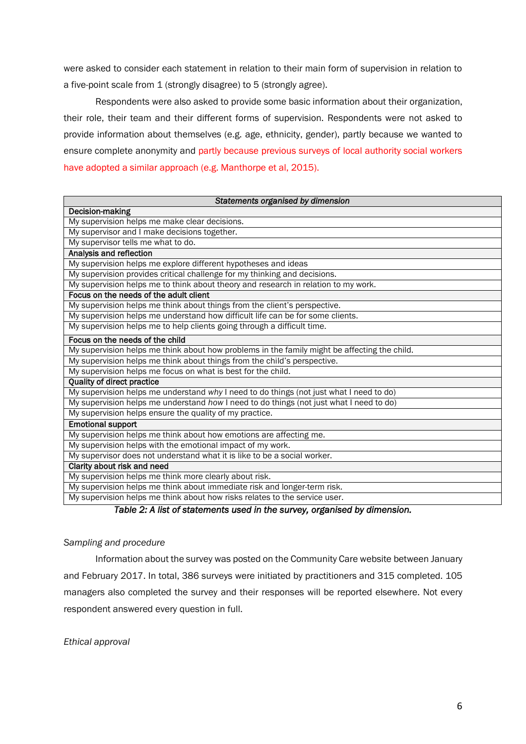were asked to consider each statement in relation to their main form of supervision in relation to a five-point scale from 1 (strongly disagree) to 5 (strongly agree).

 Respondents were also asked to provide some basic information about their organization, their role, their team and their different forms of supervision. Respondents were not asked to provide information about themselves (e.g. age, ethnicity, gender), partly because we wanted to ensure complete anonymity and partly because previous surveys of local authority social workers have adopted a similar approach (e.g. Manthorpe et al, 2015).

| Statements organised by dimension                                                            |
|----------------------------------------------------------------------------------------------|
| Decision-making                                                                              |
| My supervision helps me make clear decisions.                                                |
| My supervisor and I make decisions together.                                                 |
| My supervisor tells me what to do.                                                           |
| Analysis and reflection                                                                      |
| My supervision helps me explore different hypotheses and ideas                               |
| My supervision provides critical challenge for my thinking and decisions.                    |
| My supervision helps me to think about theory and research in relation to my work.           |
| Focus on the needs of the adult client                                                       |
| My supervision helps me think about things from the client's perspective.                    |
| My supervision helps me understand how difficult life can be for some clients.               |
| My supervision helps me to help clients going through a difficult time.                      |
| Focus on the needs of the child                                                              |
| My supervision helps me think about how problems in the family might be affecting the child. |
| My supervision helps me think about things from the child's perspective.                     |
| My supervision helps me focus on what is best for the child.                                 |
| <b>Quality of direct practice</b>                                                            |
| My supervision helps me understand why I need to do things (not just what I need to do)      |
| My supervision helps me understand how I need to do things (not just what I need to do)      |
| My supervision helps ensure the quality of my practice.                                      |
| <b>Emotional support</b>                                                                     |
| My supervision helps me think about how emotions are affecting me.                           |
| My supervision helps with the emotional impact of my work.                                   |
| My supervisor does not understand what it is like to be a social worker.                     |
| Clarity about risk and need                                                                  |
| My supervision helps me think more clearly about risk.                                       |
| My supervision helps me think about immediate risk and longer-term risk.                     |
| My supervision helps me think about how risks relates to the service user.                   |

*Table 2: A list of statements used in the survey, organised by dimension.* 

# *Sampling and procedure*

Information about the survey was posted on the Community Care website between January and February 2017. In total, 386 surveys were initiated by practitioners and 315 completed. 105 managers also completed the survey and their responses will be reported elsewhere. Not every respondent answered every question in full.

*Ethical approval*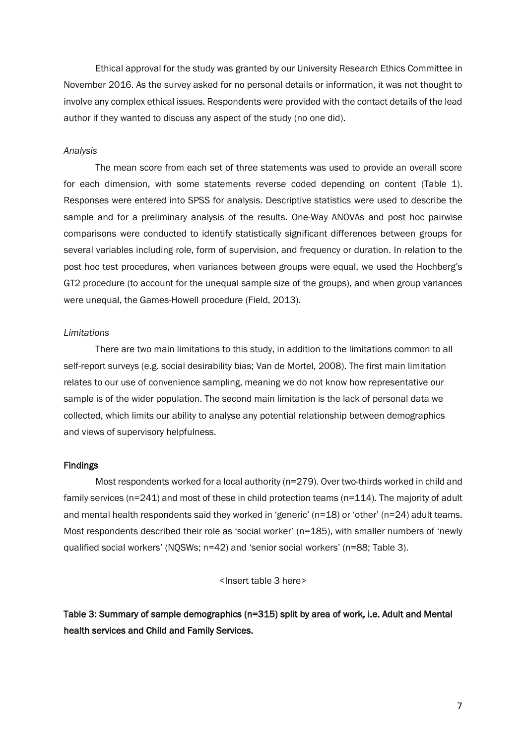Ethical approval for the study was granted by our University Research Ethics Committee in November 2016. As the survey asked for no personal details or information, it was not thought to involve any complex ethical issues. Respondents were provided with the contact details of the lead author if they wanted to discuss any aspect of the study (no one did).

#### *Analysis*

The mean score from each set of three statements was used to provide an overall score for each dimension, with some statements reverse coded depending on content (Table 1). Responses were entered into SPSS for analysis. Descriptive statistics were used to describe the sample and for a preliminary analysis of the results. One-Way ANOVAs and post hoc pairwise comparisons were conducted to identify statistically significant differences between groups for several variables including role, form of supervision, and frequency or duration. In relation to the post hoc test procedures, when variances between groups were equal, we used the Hochberg's GT2 procedure (to account for the unequal sample size of the groups), and when group variances were unequal, the Games-Howell procedure (Field, 2013).

## *Limitations*

There are two main limitations to this study, in addition to the limitations common to all self-report surveys (e.g. social desirability bias; Van de Mortel, 2008). The first main limitation relates to our use of convenience sampling, meaning we do not know how representative our sample is of the wider population. The second main limitation is the lack of personal data we collected, which limits our ability to analyse any potential relationship between demographics and views of supervisory helpfulness.

# Findings

Most respondents worked for a local authority (n=279). Over two-thirds worked in child and family services (n=241) and most of these in child protection teams (n=114). The majority of adult and mental health respondents said they worked in 'generic' (n=18) or 'other' (n=24) adult teams. Most respondents described their role as 'social worker' (n=185), with smaller numbers of 'newly qualified social workers' (NQSWs; n=42) and 'senior social workers' (n=88; Table 3).

<Insert table 3 here>

Table 3: Summary of sample demographics (n=315) split by area of work, i.e. Adult and Mental health services and Child and Family Services.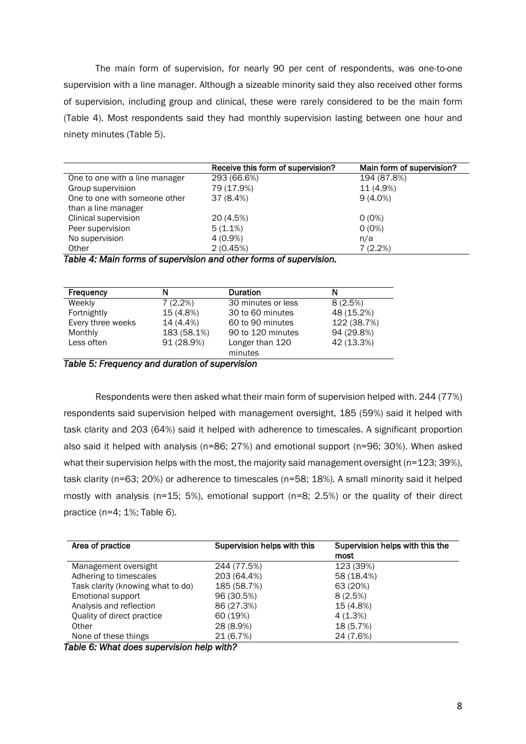The main form of supervision, for nearly 90 per cent of respondents, was one-to-one supervision with a line manager. Although a sizeable minority said they also received other forms of supervision, including group and clinical, these were rarely considered to be the main form (Table 4). Most respondents said they had monthly supervision lasting between one hour and ninety minutes (Table 5).

|                                | Receive this form of supervision? | Main form of supervision? |
|--------------------------------|-----------------------------------|---------------------------|
| One to one with a line manager | 293 (66.6%)                       | 194 (87.8%)               |
| Group supervision              | 79 (17.9%)                        | 11 (4.9%)                 |
| One to one with someone other  | 37(8.4%)                          | $9(4.0\%)$                |
| than a line manager            |                                   |                           |
| Clinical supervision           | 20 (4.5%)                         | $0(0\%)$                  |
| Peer supervision               | $5(1.1\%)$                        | $0(0\%)$                  |
| No supervision                 | $4(0.9\%)$                        | n/a                       |
| Other                          | 2(0.45%)                          | 7(2.2%)                   |

*Table 4: Main forms of supervision and other forms of supervision.* 

| 8(2.5%)<br>48 (15.2%) |
|-----------------------|
|                       |
|                       |
| 122 (38.7%)           |
| 94 (29.8%)            |
| 42 (13.3%)            |
|                       |
| 90 to 120 minutes     |

*Table 5: Frequency and duration of supervision* 

Respondents were then asked what their main form of supervision helped with. 244 (77%) respondents said supervision helped with management oversight, 185 (59%) said it helped with task clarity and 203 (64%) said it helped with adherence to timescales. A significant proportion also said it helped with analysis (n=86; 27%) and emotional support (n=96; 30%). When asked what their supervision helps with the most, the majority said management oversight (n=123; 39%), task clarity (n=63; 20%) or adherence to timescales (n=58; 18%). A small minority said it helped mostly with analysis (n=15; 5%), emotional support (n=8; 2.5%) or the quality of their direct practice (n=4; 1%; Table 6).

| Area of practice                  | Supervision helps with this | Supervision helps with this the<br>most |
|-----------------------------------|-----------------------------|-----------------------------------------|
| Management oversight              | 244 (77.5%)                 | 123 (39%)                               |
| Adhering to timescales            | 203 (64.4%)                 | 58 (18.4%)                              |
| Task clarity (knowing what to do) | 185 (58.7%)                 | 63 (20%)                                |
| <b>Emotional support</b>          | 96 (30.5%)                  | 8(2.5%)                                 |
| Analysis and reflection           | 86 (27.3%)                  | 15 (4.8%)                               |
| Quality of direct practice        | 60 (19%)                    | 4(1.3%)                                 |
| Other                             | 28 (8.9%)                   | 18 (5.7%)                               |
| None of these things              | 21 (6.7%)                   | 24 (7.6%)                               |

*Table 6: What does supervision help with?*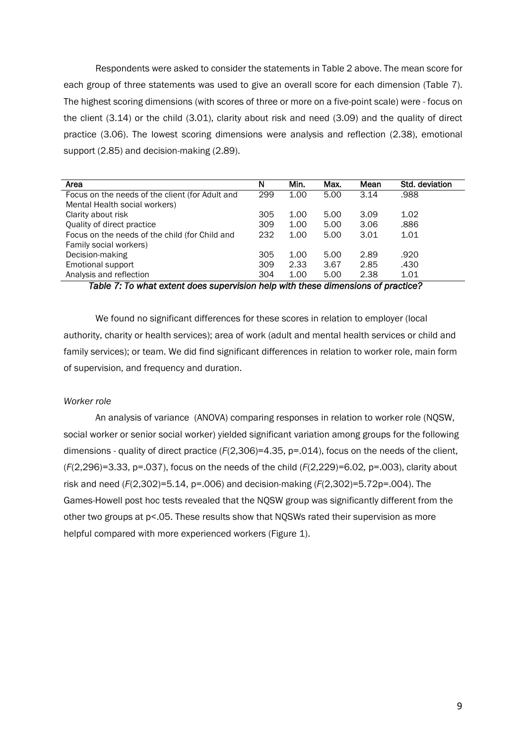Respondents were asked to consider the statements in Table 2 above. The mean score for each group of three statements was used to give an overall score for each dimension (Table 7). The highest scoring dimensions (with scores of three or more on a five-point scale) were - focus on the client (3.14) or the child (3.01), clarity about risk and need (3.09) and the quality of direct practice (3.06). The lowest scoring dimensions were analysis and reflection (2.38), emotional support (2.85) and decision-making (2.89).

| Area                                            | N   | Min. | Max. | Mean | Std. deviation |
|-------------------------------------------------|-----|------|------|------|----------------|
| Focus on the needs of the client (for Adult and | 299 | 1.00 | 5.00 | 3.14 | .988           |
| Mental Health social workers)                   |     |      |      |      |                |
| Clarity about risk                              | 305 | 1.00 | 5.00 | 3.09 | 1.02           |
| Quality of direct practice                      | 309 | 1.00 | 5.00 | 3.06 | .886           |
| Focus on the needs of the child (for Child and  | 232 | 1.00 | 5.00 | 3.01 | 1.01           |
| Family social workers)                          |     |      |      |      |                |
| Decision-making                                 | 305 | 1.00 | 5.00 | 2.89 | .920           |
| Emotional support                               | 309 | 2.33 | 3.67 | 2.85 | .430           |
| Analysis and reflection                         | 304 | 1.00 | 5.00 | 2.38 | 1.01           |

*Table 7: To what extent does supervision help with these dimensions of practice?* 

We found no significant differences for these scores in relation to employer (local authority, charity or health services); area of work (adult and mental health services or child and family services); or team. We did find significant differences in relation to worker role, main form of supervision, and frequency and duration.

# *Worker role*

An analysis of variance (ANOVA) comparing responses in relation to worker role (NQSW, social worker or senior social worker) yielded significant variation among groups for the following dimensions - quality of direct practice ( $F(2,306)=4.35$ ,  $p=.014$ ), focus on the needs of the client, (*F*(2,296)=3.33, p=.037), focus on the needs of the child (*F*(2,229)=6.02*,* p=.003), clarity about risk and need (*F*(2,302)=5.14, p=.006) and decision-making (*F*(2,302)=5.72p=.004). The Games-Howell post hoc tests revealed that the NQSW group was significantly different from the other two groups at p<.05. These results show that NQSWs rated their supervision as more helpful compared with more experienced workers (Figure 1).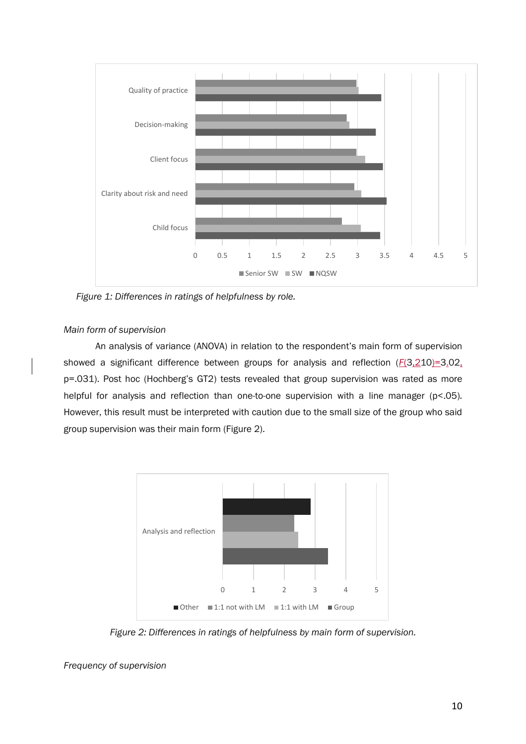

*Figure 1: Differences in ratings of helpfulness by role.* 

# *Main form of supervision*

An analysis of variance (ANOVA) in relation to the respondent's main form of supervision showed a significant difference between groups for analysis and reflection (*F*(3,210)=3.02, p=.031). Post hoc (Hochberg's GT2) tests revealed that group supervision was rated as more helpful for analysis and reflection than one-to-one supervision with a line manager (p<.05)*.* However, this result must be interpreted with caution due to the small size of the group who said group supervision was their main form (Figure 2).



*Figure 2: Differences in ratings of helpfulness by main form of supervision.* 

*Frequency of supervision*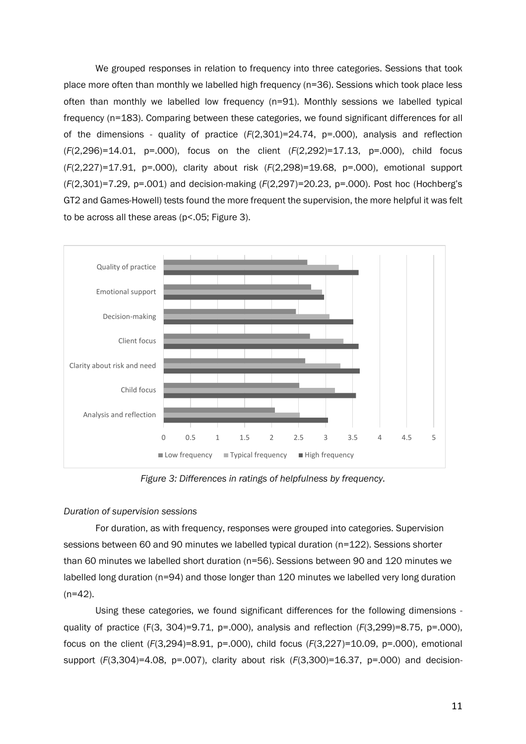We grouped responses in relation to frequency into three categories. Sessions that took place more often than monthly we labelled high frequency (n=36). Sessions which took place less often than monthly we labelled low frequency (n=91). Monthly sessions we labelled typical frequency (n=183). Comparing between these categories, we found significant differences for all of the dimensions - quality of practice (*F*(2,301)=24.74, p=.000), analysis and reflection (*F*(2,296)=14.01, p=.000), focus on the client (*F*(2,292)=17.13, p=.000), child focus (*F*(2,227)=17.91, p=.000), clarity about risk (*F*(2,298)=19.68, p=.000), emotional support (*F*(2,301)=7.29, p=.001) and decision-making (*F*(2,297)=20.23, p=.000). Post hoc (Hochberg's GT2 and Games-Howell) tests found the more frequent the supervision, the more helpful it was felt to be across all these areas (p<.05; Figure 3).



*Figure 3: Differences in ratings of helpfulness by frequency.* 

# *Duration of supervision sessions*

For duration, as with frequency, responses were grouped into categories. Supervision sessions between 60 and 90 minutes we labelled typical duration (n=122). Sessions shorter than 60 minutes we labelled short duration (n=56). Sessions between 90 and 120 minutes we labelled long duration (n=94) and those longer than 120 minutes we labelled very long duration  $(n=42)$ .

Using these categories, we found significant differences for the following dimensions quality of practice (F(3, 304)=9.71, p=.000), analysis and reflection (*F*(3,299)=8.75, p=.000), focus on the client (*F*(3,294)=8.91, p=.000), child focus (*F*(3,227)=10.09, p=.000), emotional support (*F*(3,304)=4.08, p=.007), clarity about risk (*F*(3,300)=16.37, p=.000) and decision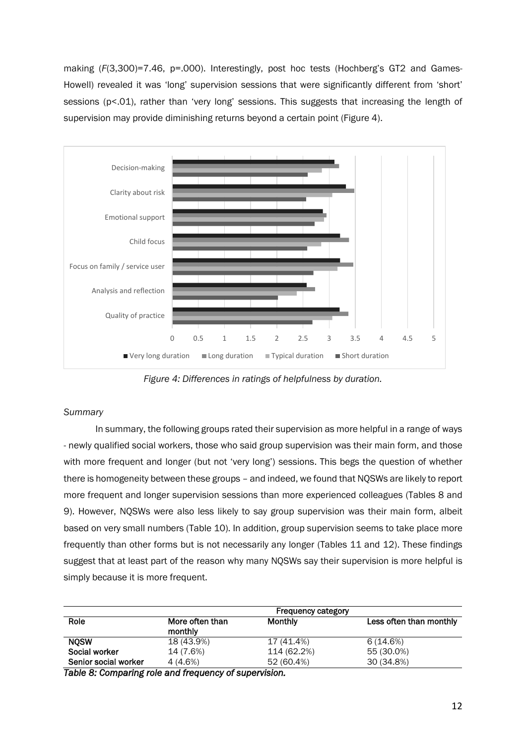making (F(3,300)=7.46, p=.000). Interestingly, post hoc tests (Hochberg's GT2 and Games-Howell) revealed it was 'long' supervision sessions that were significantly different from 'short' sessions (p<.01), rather than 'very long' sessions. This suggests that increasing the length of supervision may provide diminishing returns beyond a certain point (Figure 4).



*Figure 4: Differences in ratings of helpfulness by duration.* 

# *Summary*

In summary, the following groups rated their supervision as more helpful in a range of ways - newly qualified social workers, those who said group supervision was their main form, and those with more frequent and longer (but not 'very long') sessions. This begs the question of whether there is homogeneity between these groups – and indeed, we found that NQSWs are likely to report more frequent and longer supervision sessions than more experienced colleagues (Tables 8 and 9). However, NQSWs were also less likely to say group supervision was their main form, albeit based on very small numbers (Table 10). In addition, group supervision seems to take place more frequently than other forms but is not necessarily any longer (Tables 11 and 12). These findings suggest that at least part of the reason why many NQSWs say their supervision is more helpful is simply because it is more frequent.

|                      |                            | <b>Frequency category</b> |                         |
|----------------------|----------------------------|---------------------------|-------------------------|
| Role                 | More often than<br>monthly | <b>Monthly</b>            | Less often than monthly |
| <b>NOSW</b>          | 18 (43.9%)                 | 17 (41.4%)                | 6(14.6%)                |
| Social worker        | 14 (7.6%)                  | 114 (62.2%)               | 55 (30.0%)              |
| Senior social worker | 4 (4.6%)                   | 52 (60.4%)                | 30 (34.8%)              |

*Table 8: Comparing role and frequency of supervision.*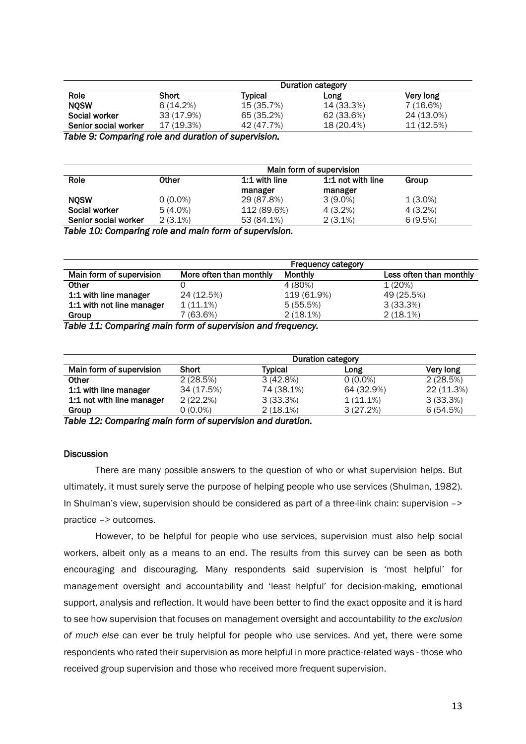|                                                     | Duration category |            |            |            |
|-----------------------------------------------------|-------------------|------------|------------|------------|
| Role                                                | <b>Short</b>      | Typical    | Long       | Very long  |
| <b>NOSW</b>                                         | 6(14.2%)          | 15 (35.7%) | 14 (33.3%) | 7(16.6%)   |
| Social worker                                       | 33 (17.9%)        | 65 (35.2%) | 62 (33.6%) | 24 (13.0%) |
| Senior social worker                                | 17 (19.3%)        | 42 (47.7%) | 18 (20.4%) | 11 (12.5%) |
| Table A. Association and construction of comparable |                   |            |            |            |

*Table 9: Comparing role and duration of supervision.* 

| Role                 | Main form of supervision |               |                   |            |
|----------------------|--------------------------|---------------|-------------------|------------|
|                      | Other                    | 1:1 with line | 1:1 not with line | Group      |
|                      |                          | manager       | manager           |            |
| <b>NOSW</b>          | $0(0.0\%)$               | 29 (87.8%)    | $3(9.0\%)$        | $1(3.0\%)$ |
| Social worker        | $5(4.0\%)$               | 112 (89.6%)   | 4 (3.2%)          | 4 (3.2%)   |
| Senior social worker | $2(3.1\%)$               | 53 (84.1%)    | $2(3.1\%)$        | 6(9.5%)    |

*Table 10: Comparing role and main form of supervision.* 

|                           |                         | <b>Frequency category</b> |                         |
|---------------------------|-------------------------|---------------------------|-------------------------|
| Main form of supervision  | More often than monthly | <b>Monthly</b>            | Less often than monthly |
| <b>Other</b>              |                         | 4 (80%)                   | 1(20%)                  |
| 1:1 with line manager     | 24 (12.5%)              | 119 (61.9%)               | 49 (25.5%)              |
| 1:1 with not line manager | $1(11.1\%)$             | 5(55.5%)                  | 3(33.3%)                |
| Group<br>- 11 - 11 - 2    | $(63.6\%)$              | 2(18.1%)                  | 2(18.1%)                |

*Table 11: Comparing main form of supervision and frequency.* 

|                           | Duration category |             |             |            |
|---------------------------|-------------------|-------------|-------------|------------|
| Main form of supervision  | <b>Short</b>      | Very long   |             |            |
| <b>Other</b>              | 2(28.5%)          | 3(42.8%)    | $0(0.0\%)$  | 2(28.5%)   |
| 1:1 with line manager     | 34 (17.5%)        | 74 (38.1%)  | 64 (32.9%)  | 22 (11.3%) |
| 1:1 not with line manager | 2(22.2%)          | 3(33.3%)    | $1(11.1\%)$ | 3(33.3%)   |
| Group<br>_ _              | $0(0.0\%)$        | $2(18.1\%)$ | 3(27.2%)    | 6(54.5%)   |

*Table 12: Comparing main form of supervision and duration.* 

# **Discussion**

There are many possible answers to the question of who or what supervision helps. But ultimately, it must surely serve the purpose of helping people who use services (Shulman, 1982). In Shulman's view, supervision should be considered as part of a three-link chain: supervision –> practice –> outcomes.

However, to be helpful for people who use services, supervision must also help social workers, albeit only as a means to an end. The results from this survey can be seen as both encouraging and discouraging. Many respondents said supervision is 'most helpful' for management oversight and accountability and 'least helpful' for decision-making, emotional support, analysis and reflection. It would have been better to find the exact opposite and it is hard to see how supervision that focuses on management oversight and accountability *to the exclusion of much else* can ever be truly helpful for people who use services. And yet, there were some respondents who rated their supervision as more helpful in more practice-related ways - those who received group supervision and those who received more frequent supervision.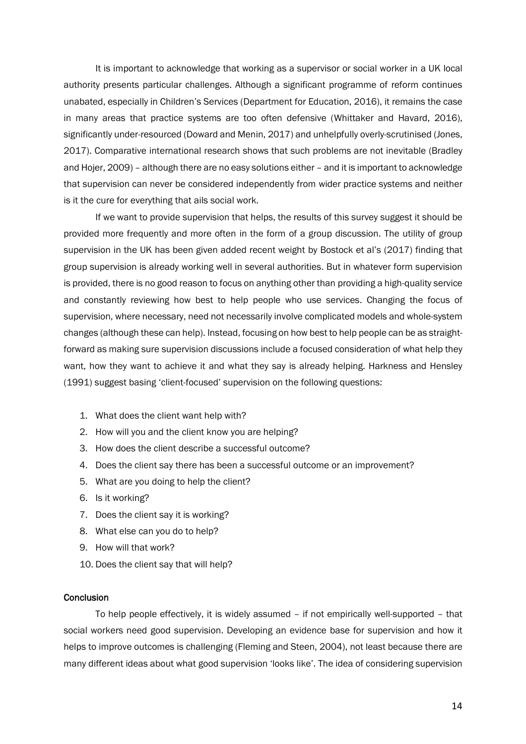It is important to acknowledge that working as a supervisor or social worker in a UK local authority presents particular challenges. Although a significant programme of reform continues unabated, especially in Children's Services (Department for Education, 2016), it remains the case in many areas that practice systems are too often defensive (Whittaker and Havard, 2016), significantly under-resourced (Doward and Menin, 2017) and unhelpfully overly-scrutinised (Jones, 2017). Comparative international research shows that such problems are not inevitable (Bradley and Hojer, 2009) – although there are no easy solutions either – and it is important to acknowledge that supervision can never be considered independently from wider practice systems and neither is it the cure for everything that ails social work.

 If we want to provide supervision that helps, the results of this survey suggest it should be provided more frequently and more often in the form of a group discussion. The utility of group supervision in the UK has been given added recent weight by Bostock et al's (2017) finding that group supervision is already working well in several authorities. But in whatever form supervision is provided, there is no good reason to focus on anything other than providing a high-quality service and constantly reviewing how best to help people who use services. Changing the focus of supervision, where necessary, need not necessarily involve complicated models and whole-system changes (although these can help). Instead, focusing on how best to help people can be as straightforward as making sure supervision discussions include a focused consideration of what help they want, how they want to achieve it and what they say is already helping. Harkness and Hensley (1991) suggest basing 'client-focused' supervision on the following questions:

- 1. What does the client want help with?
- 2. How will you and the client know you are helping?
- 3. How does the client describe a successful outcome?
- 4. Does the client say there has been a successful outcome or an improvement?
- 5. What are you doing to help the client?
- 6. Is it working?
- 7. Does the client say it is working?
- 8. What else can you do to help?
- 9. How will that work?
- 10. Does the client say that will help?

# **Conclusion**

To help people effectively, it is widely assumed – if not empirically well-supported – that social workers need good supervision. Developing an evidence base for supervision and how it helps to improve outcomes is challenging (Fleming and Steen, 2004), not least because there are many different ideas about what good supervision 'looks like'. The idea of considering supervision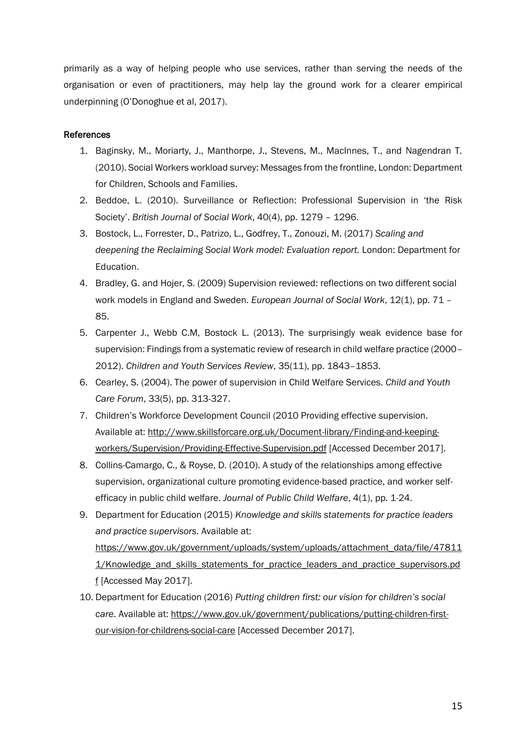primarily as a way of helping people who use services, rather than serving the needs of the organisation or even of practitioners, may help lay the ground work for a clearer empirical underpinning (O'Donoghue et al, 2017).

# References

- 1. Baginsky, M., Moriarty, J., Manthorpe, J., Stevens, M., MacInnes, T., and Nagendran T. (2010). Social Workers workload survey: Messages from the frontline, London: Department for Children, Schools and Families.
- 2. Beddoe, L. (2010). Surveillance or Reflection: Professional Supervision in 'the Risk Society'. *British Journal of Social Work*, 40(4), pp. 1279 – 1296.
- 3. Bostock, L., Forrester, D., Patrizo, L., Godfrey, T., Zonouzi, M. (2017) *Scaling and deepening the Reclaiming Social Work model: Evaluation report.* London: Department for Education.
- 4. Bradley, G. and Hojer, S. (2009) Supervision reviewed: reflections on two different social work models in England and Sweden. *European Journal of Social Work*, 12(1), pp. 71 – 85.
- 5. Carpenter J., Webb C.M, Bostock L. (2013). The surprisingly weak evidence base for supervision: Findings from a systematic review of research in child welfare practice (2000– 2012). *Children and Youth Services Review*, 35(11), pp. 1843–1853.
- 6. Cearley, S. (2004). The power of supervision in Child Welfare Services. *Child and Youth Care Forum*, 33(5), pp. 313-327.
- 7. Children's Workforce Development Council (2010 Providing effective supervision. Available at: [http://www.skillsforcare.org.uk/Document-library/Finding-and-keeping](http://www.skillsforcare.org.uk/Document-library/Finding-and-keeping-workers/Supervision/Providing-Effective-Supervision.pdf)[workers/Supervision/Providing-Effective-Supervision.pdf](http://www.skillsforcare.org.uk/Document-library/Finding-and-keeping-workers/Supervision/Providing-Effective-Supervision.pdf) [Accessed December 2017].
- 8. Collins-Camargo, C., & Royse, D. (2010). A study of the relationships among effective supervision, organizational culture promoting evidence-based practice, and worker selfefficacy in public child welfare. *Journal of Public Child Welfare*, 4(1), pp. 1-24.
- 9. Department for Education (2015) *Knowledge and skills statements for practice leaders and practice supervisors*. Available at: [https://www.gov.uk/government/uploads/system/uploads/attachment\\_data/file/47811](https://www.gov.uk/government/uploads/system/uploads/attachment_data/file/478111/Knowledge_and_skills_statements_for_practice_leaders_and_practice_supervisors.pdf) [1/Knowledge\\_and\\_skills\\_statements\\_for\\_practice\\_leaders\\_and\\_practice\\_supervisors.pd](https://www.gov.uk/government/uploads/system/uploads/attachment_data/file/478111/Knowledge_and_skills_statements_for_practice_leaders_and_practice_supervisors.pdf) [f](https://www.gov.uk/government/uploads/system/uploads/attachment_data/file/478111/Knowledge_and_skills_statements_for_practice_leaders_and_practice_supervisors.pdf) [Accessed May 2017].
- 10. Department for Education (2016) *Putting children first: our vision for children's social care*. Available at: [https://www.gov.uk/government/publications/putting-children-first](https://www.gov.uk/government/publications/putting-children-first-our-vision-for-childrens-social-care)[our-vision-for-childrens-social-care](https://www.gov.uk/government/publications/putting-children-first-our-vision-for-childrens-social-care) [Accessed December 2017].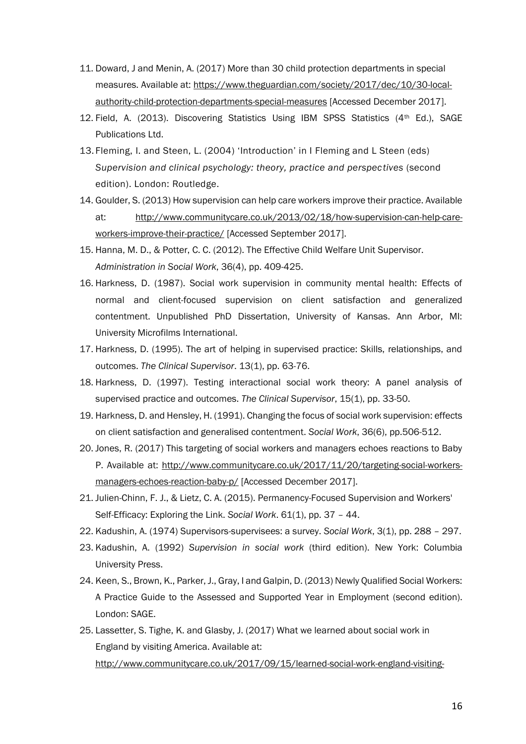- 11. Doward, J and Menin, A. (2017) More than 30 child protection departments in special measures. Available at[: https://www.theguardian.com/society/2017/dec/10/30-local](https://www.theguardian.com/society/2017/dec/10/30-local-authority-child-protection-departments-special-measures)[authority-child-protection-departments-special-measures](https://www.theguardian.com/society/2017/dec/10/30-local-authority-child-protection-departments-special-measures) [Accessed December 2017].
- 12. Field, A. (2013). Discovering Statistics Using IBM SPSS Statistics ( $4<sup>th</sup>$  Ed.), SAGE Publications Ltd.
- 13. Fleming, I. and Steen, L. (2004) 'Introduction' in I Fleming and L Steen (eds) *Supervision and clinical psychology: theory, practice and perspectives* (second edition). London: Routledge.
- 14. Goulder, S. (2013) How supervision can help care workers improve their practice. Available at: [http://www.communitycare.co.uk/2013/02/18/how-supervision-can-help-care](http://www.communitycare.co.uk/2013/02/18/how-supervision-can-help-care-workers-improve-their-practice/)[workers-improve-their-practice/](http://www.communitycare.co.uk/2013/02/18/how-supervision-can-help-care-workers-improve-their-practice/) [Accessed September 2017].
- 15. Hanna, M. D., & Potter, C. C. (2012). The Effective Child Welfare Unit Supervisor. *Administration in Social Work*, 36(4), pp. 409-425.
- 16. Harkness, D. (1987). Social work supervision in community mental health: Effects of normal and client-focused supervision on client satisfaction and generalized contentment. Unpublished PhD Dissertation, University of Kansas. Ann Arbor, MI: University Microfilms International.
- 17. Harkness, D. (1995). The art of helping in supervised practice: Skills, relationships, and outcomes. *The Clinical Supervisor*. 13(1), pp. 63-76.
- 18. Harkness, D. (1997). Testing interactional social work theory: A panel analysis of supervised practice and outcomes. *The Clinical Supervisor*, 15(1), pp. 33-50.
- 19. Harkness, D. and Hensley, H. (1991). Changing the focus of social work supervision: effects on client satisfaction and generalised contentment. *Social Work*, 36(6), pp.506-512.
- 20. Jones, R. (2017) This targeting of social workers and managers echoes reactions to Baby P. Available at: [http://www.communitycare.co.uk/2017/11/20/targeting-social-workers](http://www.communitycare.co.uk/2017/11/20/targeting-social-workers-managers-echoes-reaction-baby-p/)[managers-echoes-reaction-baby-p/](http://www.communitycare.co.uk/2017/11/20/targeting-social-workers-managers-echoes-reaction-baby-p/) [Accessed December 2017].
- 21. Julien-Chinn, F. J., & Lietz, C. A. (2015). Permanency-Focused Supervision and Workers' Self-Efficacy: Exploring the Link. *Social Work*. 61(1), pp. 37 – 44.
- 22. Kadushin, A. (1974) Supervisors-supervisees: a survey. *Social Work*, 3(1), pp. 288 297.
- 23. Kadushin, A. (1992) *Supervision in social work* (third edition). New York: Columbia University Press.
- 24. Keen, S., Brown, K., Parker, J., Gray, I and Galpin, D. (2013) Newly Qualified Social Workers: A Practice Guide to the Assessed and Supported Year in Employment (second edition). London: SAGE.
- 25. Lassetter, S. Tighe, K. and Glasby, J. (2017) What we learned about social work in England by visiting America. Available at: [http://www.communitycare.co.uk/2017/09/15/learned-social-work-england-visiting-](http://www.communitycare.co.uk/2017/09/15/learned-social-work-england-visiting-america/)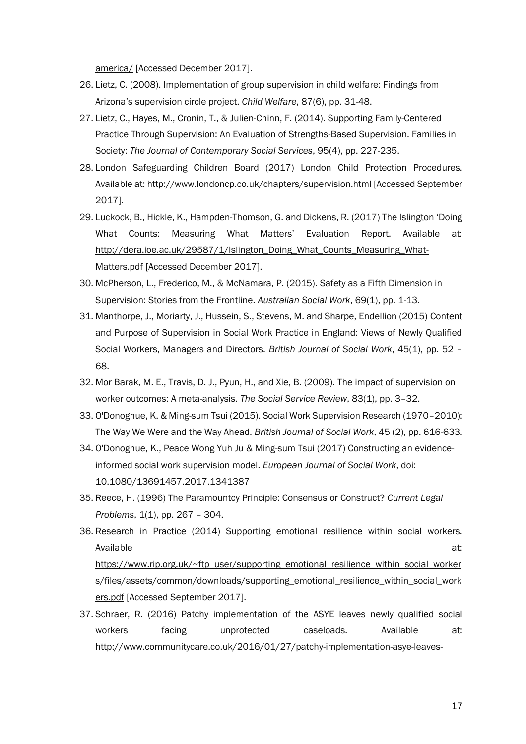[america/](http://www.communitycare.co.uk/2017/09/15/learned-social-work-england-visiting-america/) [Accessed December 2017].

- 26. Lietz, C. (2008). Implementation of group supervision in child welfare: Findings from Arizona's supervision circle project. *Child Welfare*, 87(6), pp. 31-48.
- 27. Lietz, C., Hayes, M., Cronin, T., & Julien-Chinn, F. (2014). Supporting Family-Centered Practice Through Supervision: An Evaluation of Strengths-Based Supervision. Families in Society: *The Journal of Contemporary Social Services*, 95(4), pp. 227-235.
- 28. London Safeguarding Children Board (2017) London Child Protection Procedures. Available at[: http://www.londoncp.co.uk/chapters/supervision.html](http://www.londoncp.co.uk/chapters/supervision.html) [Accessed September 2017].
- 29. Luckock, B., Hickle, K., Hampden-Thomson, G. and Dickens, R. (2017) The Islington 'Doing What Counts: Measuring What Matters' Evaluation Report. Available at: [http://dera.ioe.ac.uk/29587/1/Islington\\_Doing\\_What\\_Counts\\_Measuring\\_What-](http://dera.ioe.ac.uk/29587/1/Islington_Doing_What_Counts_Measuring_What-Matters.pdf)[Matters.pdf](http://dera.ioe.ac.uk/29587/1/Islington_Doing_What_Counts_Measuring_What-Matters.pdf) [Accessed December 2017].
- 30. McPherson, L., Frederico, M., & McNamara, P. (2015). Safety as a Fifth Dimension in Supervision: Stories from the Frontline. *Australian Social Work*, 69(1), pp. 1-13.
- 31. Manthorpe, J., Moriarty, J., Hussein, S., Stevens, M. and Sharpe, Endellion (2015) Content and Purpose of Supervision in Social Work Practice in England: Views of Newly Qualified Social Workers, Managers and Directors. *British Journal of Social Work*, 45(1), pp. 52 – 68.
- 32. Mor Barak, M. E., Travis, D. J., Pyun, H., and Xie, B. (2009). The impact of supervision on worker outcomes: A meta-analysis. *The Social Service Review*, 83(1), pp. 3–32.
- 33. O'Donoghue, K. & Ming-sum Tsui (2015). Social Work Supervision Research (1970–2010): The Way We Were and the Way Ahead. *British Journal of Social Work*, 45 (2), pp. 616-633.
- 34. O'Donoghue, K., Peace Wong Yuh Ju & Ming-sum Tsui (2017) Constructing an evidenceinformed social work supervision model. *European Journal of Social Work*, doi: 10.1080/13691457.2017.1341387
- 35. Reece, H. (1996) The Paramountcy Principle: Consensus or Construct? *Current Legal Problems*, 1(1), pp. 267 – 304.
- 36. Research in Practice (2014) Supporting emotional resilience within social workers. Available at: [https://www.rip.org.uk/~ftp\\_user/supporting\\_emotional\\_resilience\\_within\\_social\\_worker](https://www.rip.org.uk/~ftp_user/supporting_emotional_resilience_within_social_workers/files/assets/common/downloads/supporting_emotional_resilience_within_social_workers.pdf) [s/files/assets/common/downloads/supporting\\_emotional\\_resilience\\_within\\_social\\_work](https://www.rip.org.uk/~ftp_user/supporting_emotional_resilience_within_social_workers/files/assets/common/downloads/supporting_emotional_resilience_within_social_workers.pdf) [ers.pdf](https://www.rip.org.uk/~ftp_user/supporting_emotional_resilience_within_social_workers/files/assets/common/downloads/supporting_emotional_resilience_within_social_workers.pdf) [Accessed September 2017].
- 37. Schraer, R. (2016) Patchy implementation of the ASYE leaves newly qualified social workers facing unprotected caseloads. Available at: [http://www.communitycare.co.uk/2016/01/27/patchy-implementation-asye-leaves-](http://www.communitycare.co.uk/2016/01/27/patchy-implementation-asye-leaves-newly-qualified-social-workers-facing-unprotected-caseloads/)